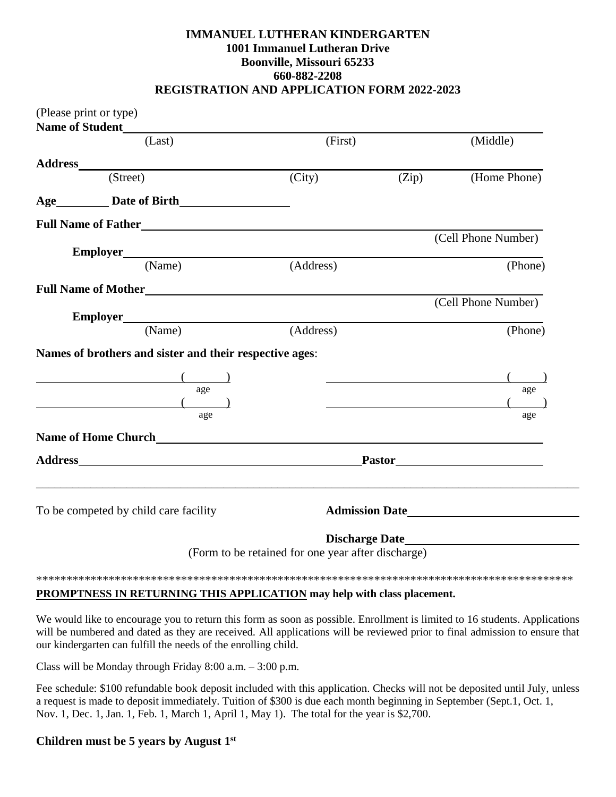## **IMMANUEL LUTHERAN KINDERGARTEN 1001 Immanuel Lutheran Drive Boonville, Missouri 65233 660-882-2208 REGISTRATION AND APPLICATION FORM 2022-2023**

|                                  | (Please print or type)                                                                                                                                                                                                                                                                                                                                                                      |                                                    |       |                       |
|----------------------------------|---------------------------------------------------------------------------------------------------------------------------------------------------------------------------------------------------------------------------------------------------------------------------------------------------------------------------------------------------------------------------------------------|----------------------------------------------------|-------|-----------------------|
| <b>Name of Student</b><br>(Last) |                                                                                                                                                                                                                                                                                                                                                                                             | (First)                                            |       | (Middle)              |
|                                  |                                                                                                                                                                                                                                                                                                                                                                                             |                                                    |       |                       |
|                                  |                                                                                                                                                                                                                                                                                                                                                                                             | (City)                                             | (Zip) | (Home Phone)          |
|                                  |                                                                                                                                                                                                                                                                                                                                                                                             |                                                    |       |                       |
|                                  |                                                                                                                                                                                                                                                                                                                                                                                             |                                                    |       |                       |
|                                  |                                                                                                                                                                                                                                                                                                                                                                                             |                                                    |       | (Cell Phone Number)   |
|                                  | Employer (Name) $($ /                                                                                                                                                                                                                                                                                                                                                                       | (Address)                                          |       | (Phone)               |
|                                  |                                                                                                                                                                                                                                                                                                                                                                                             |                                                    |       |                       |
|                                  |                                                                                                                                                                                                                                                                                                                                                                                             |                                                    |       | (Cell Phone Number)   |
|                                  | (Name)                                                                                                                                                                                                                                                                                                                                                                                      | (Address)                                          |       | (Phone)               |
|                                  | Names of brothers and sister and their respective ages:                                                                                                                                                                                                                                                                                                                                     |                                                    |       |                       |
|                                  |                                                                                                                                                                                                                                                                                                                                                                                             |                                                    |       |                       |
|                                  | age                                                                                                                                                                                                                                                                                                                                                                                         |                                                    |       | age                   |
|                                  | $\overline{a}$ $\overline{a}$ $\overline{a}$ $\overline{a}$ $\overline{a}$ $\overline{a}$ $\overline{a}$ $\overline{a}$ $\overline{a}$ $\overline{a}$ $\overline{a}$ $\overline{a}$ $\overline{a}$ $\overline{a}$ $\overline{a}$ $\overline{a}$ $\overline{a}$ $\overline{a}$ $\overline{a}$ $\overline{a}$ $\overline{a}$ $\overline{a}$ $\overline{a}$ $\overline{a}$ $\overline{$<br>age |                                                    |       | age                   |
|                                  |                                                                                                                                                                                                                                                                                                                                                                                             |                                                    |       |                       |
|                                  |                                                                                                                                                                                                                                                                                                                                                                                             |                                                    |       |                       |
|                                  | To be competed by child care facility                                                                                                                                                                                                                                                                                                                                                       |                                                    |       | <b>Admission Date</b> |
|                                  |                                                                                                                                                                                                                                                                                                                                                                                             | (Form to be retained for one year after discharge) |       |                       |
|                                  |                                                                                                                                                                                                                                                                                                                                                                                             |                                                    |       |                       |
|                                  |                                                                                                                                                                                                                                                                                                                                                                                             |                                                    |       |                       |

## **PROMPTNESS IN RETURNING THIS APPLICATION may help with class placement.**

We would like to encourage you to return this form as soon as possible. Enrollment is limited to 16 students. Applications will be numbered and dated as they are received. All applications will be reviewed prior to final admission to ensure that our kindergarten can fulfill the needs of the enrolling child.

Class will be Monday through Friday 8:00 a.m. – 3:00 p.m.

Fee schedule: \$100 refundable book deposit included with this application. Checks will not be deposited until July, unless a request is made to deposit immediately. Tuition of \$300 is due each month beginning in September (Sept.1, Oct. 1, Nov. 1, Dec. 1, Jan. 1, Feb. 1, March 1, April 1, May 1). The total for the year is \$2,700.

## **Children must be 5 years by August 1st**